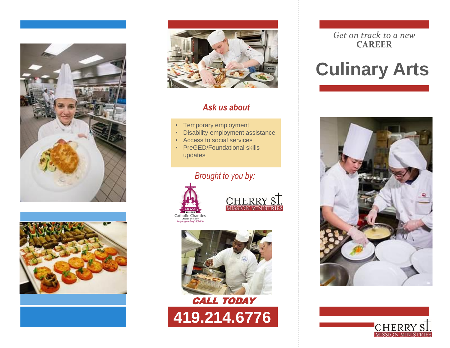





# *Ask us about*

- Temporary employment
- Disability employment assistance
- Access to social services
- PreGED/Foundational skills updates

# *Brought to you by:*









#### *Get on track to a new* **CAREER**

# **Culinary Arts**